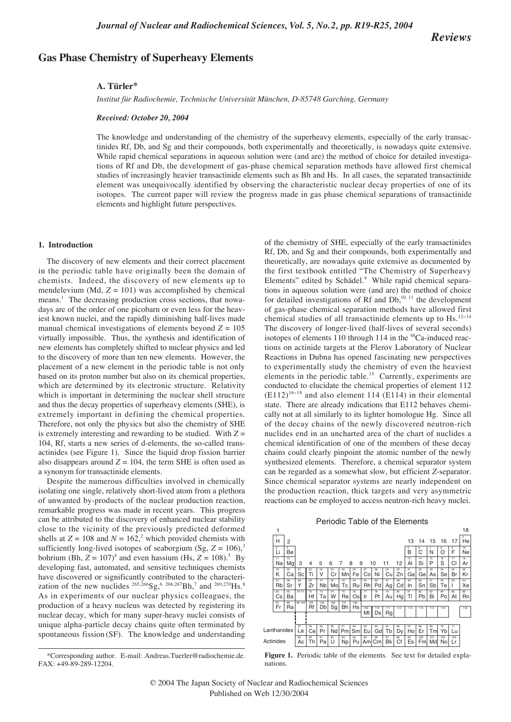*Reviews Review*

# **Gas Phase Chemistry of Superheavy Elements**

## **A. Türler\***

*Institut für Radiochemie, Technische Universität München, D-85748 Garching, Germany* 

## *Received: October 20, 2004*

The knowledge and understanding of the chemistry of the superheavy elements, especially of the early transactinides Rf, Db, and Sg and their compounds, both experimentally and theoretically, is nowadays quite extensive. While rapid chemical separations in aqueous solution were (and are) the method of choice for detailed investigations of Rf and Db, the development of gas-phase chemical separation methods have allowed first chemical studies of increasingly heavier transactinide elements such as Bh and Hs. In all cases, the separated transactinide element was unequivocally identified by observing the characteristic nuclear decay properties of one of its isotopes. The current paper will review the progress made in gas phase chemical separations of transactinide elements and highlight future perspectives.

### **1. Introduction**

The discovery of new elements and their correct placement in the periodic table have originally been the domain of chemists. Indeed, the discovery of new elements up to mendelevium (Md,  $Z = 101$ ) was accomplished by chemical means.<sup>1</sup> The decreasing production cross sections, that nowadays are of the order of one picobarn or even less for the heaviest known nuclei, and the rapidly diminishing half-lives made manual chemical investigations of elements beyond  $Z = 105$ virtually impossible. Thus, the synthesis and identification of new elements has completely shifted to nuclear physics and led to the discovery of more than ten new elements. However, the placement of a new element in the periodic table is not only based on its proton number but also on its chemical properties, which are determined by its electronic structure. Relativity which is important in determining the nuclear shell structure and thus the decay properties of superheavy elements (SHE), is extremely important in defining the chemical properties. Therefore, not only the physics but also the chemistry of SHE is extremely interesting and rewarding to be studied. With  $Z =$ 104, Rf, starts a new series of d-elements, the so-called transactinides (see Figure 1). Since the liquid drop fission barrier also disappears around  $Z = 104$ , the term SHE is often used as a synonym for transactinide elements.

Despite the numerous difficulties involved in chemically isolating one single, relatively short-lived atom from a plethora of unwanted by-products of the nuclear production reaction, remarkable progress was made in recent years. This progress can be attributed to the discovery of enhanced nuclear stability close to the vicinity of the previously predicted deformed shells at  $Z = 108$  and  $N = 162$ ,<sup>2</sup> which provided chemists with sufficiently long-lived isotopes of seaborgium  $(Sg, Z = 106)^3$ bohrium (Bh,  $Z = 107$ )<sup>4</sup> and even hassium (Hs,  $Z = 108$ ).<sup>5</sup> By developing fast, automated, and sensitive techniques chemists have discovered or significantly contributed to the characterization of the new nuclides <sup>265,266</sup>Sg,<sup>6</sup> <sup>266,267</sup>Bh,<sup>7</sup> and <sup>269,270</sup>Hs.<sup>8</sup> As in experiments of our nuclear physics colleagues, the production of a heavy nucleus was detected by registering its nuclear decay, which for many super-heavy nuclei consists of unique alpha-particle decay chains quite often terminated by spontaneous fission (SF). The knowledge and understanding of the chemistry of SHE, especially of the early transactinides Rf, Db, and Sg and their compounds, both experimentally and theoretically, are nowadays quite extensive as documented by the first textbook entitled "The Chemistry of Superheavy Elements" edited by Schädel.<sup>9</sup> While rapid chemical separations in aqueous solution were (and are) the method of choice for detailed investigations of Rf and  $Db$ ,<sup>10, 11</sup> the development of gas-phase chemical separation methods have allowed first chemical studies of all transactinide elements up to Hs.<sup>12−14</sup> The discovery of longer-lived (half-lives of several seconds) isotopes of elements 110 through 114 in the <sup>48</sup>Ca-induced reactions on actinide targets at the Flerov Laboratory of Nuclear Reactions in Dubna has opened fascinating new perspectives to experimentally study the chemistry of even the heaviest elements in the periodic table.<sup>15</sup> Currently, experiments are conducted to elucidate the chemical properties of element 112 (E112)16−<sup>18</sup> and also element 114 (E114) in their elemental state. There are already indications that E112 behaves chemically not at all similarly to its lighter homologue Hg. Since all of the decay chains of the newly discovered neutron-rich nuclides end in an uncharted area of the chart of nuclides a chemical identification of one of the members of these decay chains could clearly pinpoint the atomic number of the newly synthesized elements. Therefore, a chemical separator system can be regarded as a somewhat slow, but efficient *Z*-separator. Since chemical separator systems are nearly independent on the production reaction, thick targets and very asymmetric reactions can be employed to access neutron-rich heavy nuclei.

# Periodic Table of the Elements



**Figure 1.** Periodic table of the elements. See text for detailed explanations.

<sup>\*</sup>Corresponding author. E-mail: Andreas.Tuerler@radiochemie.de. FAX: +49-89-289-12204.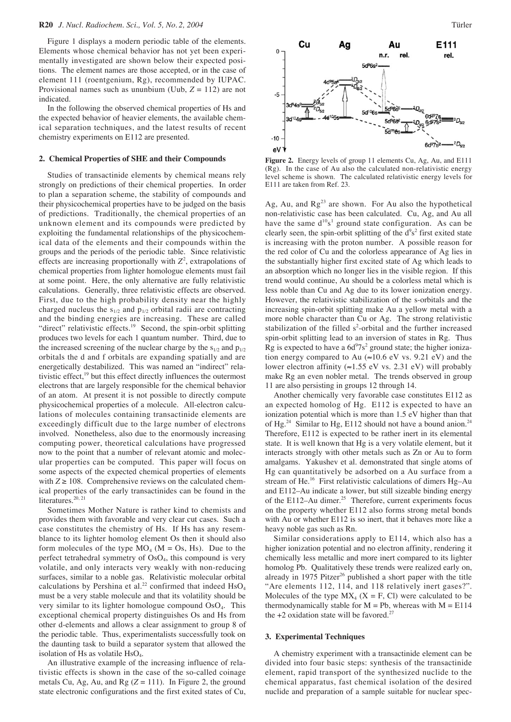Figure 1 displays a modern periodic table of the elements. Elements whose chemical behavior has not yet been experimentally investigated are shown below their expected positions. The element names are those accepted, or in the case of element 111 (roentgenium, Rg), recommended by IUPAC. Provisional names such as ununbium (Uub,  $Z = 112$ ) are not indicated.

In the following the observed chemical properties of Hs and the expected behavior of heavier elements, the available chemical separation techniques, and the latest results of recent chemistry experiments on E112 are presented.

#### **2. Chemical Properties of SHE and their Compounds**

Studies of transactinide elements by chemical means rely strongly on predictions of their chemical properties. In order to plan a separation scheme, the stability of compounds and their physicochemical properties have to be judged on the basis of predictions. Traditionally, the chemical properties of an unknown element and its compounds were predicted by exploiting the fundamental relationships of the physicochemical data of the elements and their compounds within the groups and the periods of the periodic table. Since relativistic effects are increasing proportionally with  $Z^2$ , extrapolations of chemical properties from lighter homologue elements must fail at some point. Here, the only alternative are fully relativistic calculations. Generally, three relativistic effects are observed. First, due to the high probability density near the highly charged nucleus the  $s_{1/2}$  and  $p_{1/2}$  orbital radii are contracting and the binding energies are increasing. These are called "direct" relativistic effects.<sup>19</sup> Second, the spin-orbit splitting produces two levels for each 1 quantum number. Third, due to the increased screening of the nuclear charge by the  $s_{1/2}$  and  $p_{1/2}$ orbitals the d and f orbitals are expanding spatially and are energetically destabilized. This was named an "indirect" relativistic effect,<sup>19</sup> but this effect directly influences the outermost electrons that are largely responsible for the chemical behavior of an atom. At present it is not possible to directly compute physicochemical properties of a molecule. All-electron calculations of molecules containing transactinide elements are exceedingly difficult due to the large number of electrons involved. Nonetheless, also due to the enormously increasing computing power, theoretical calculations have progressed now to the point that a number of relevant atomic and molecular properties can be computed. This paper will focus on some aspects of the expected chemical properties of elements with  $Z \ge 108$ . Comprehensive reviews on the calculated chemical properties of the early transactinides can be found in the literatures.<sup>20, 21</sup>

Sometimes Mother Nature is rather kind to chemists and provides them with favorable and very clear cut cases. Such a case constitutes the chemistry of Hs. If Hs has any resemblance to its lighter homolog element Os then it should also form molecules of the type  $MO_4$  (M = Os, Hs). Due to the perfect tetrahedral symmetry of  $OsO<sub>4</sub>$ , this compound is very volatile, and only interacts very weakly with non-reducing surfaces, similar to a noble gas. Relativistic molecular orbital calculations by Pershina et al.<sup>22</sup> confirmed that indeed  $HsO<sub>4</sub>$ must be a very stable molecule and that its volatility should be very similar to its lighter homologue compound OsO4. This exceptional chemical property distinguishes Os and Hs from other d-elements and allows a clear assignment to group 8 of the periodic table. Thus, experimentalists successfully took on the daunting task to build a separator system that allowed the isolation of Hs as volatile  $HsO<sub>4</sub>$ .

An illustrative example of the increasing influence of relativistic effects is shown in the case of the so-called coinage metals Cu, Ag, Au, and Rg  $(Z = 111)$ . In Figure 2, the ground state electronic configurations and the first exited states of Cu,



**Figure 2.** Energy levels of group 11 elements Cu, Ag, Au, and E111 (Rg). In the case of Au also the calculated non-relativistic energy level scheme is shown. The calculated relativistic energy levels for E111 are taken from Ref. 23.

Ag, Au, and  $\text{Rg}^{23}$  are shown. For Au also the hypothetical non-relativistic case has been calculated. Cu, Ag, and Au all have the same  $d^{10}s^1$  ground state configuration. As can be clearly seen, the spin-orbit splitting of the  $d<sup>9</sup>s<sup>2</sup>$  first exited state is increasing with the proton number. A possible reason for the red color of Cu and the colorless appearance of Ag lies in the substantially higher first excited state of Ag which leads to an absorption which no longer lies in the visible region. If this trend would continue, Au should be a colorless metal which is less noble than Cu and Ag due to its lower ionization energy. However, the relativistic stabilization of the s-orbitals and the increasing spin-orbit splitting make Au a yellow metal with a more noble character than Cu or Ag. The strong relativistic stabilization of the filled  $s^2$ -orbital and the further increased spin-orbit splitting lead to an inversion of states in Rg. Thus Rg is expected to have a  $6d^{9}7s^{2}$  ground state; the higher ionization energy compared to Au  $(\approx 10.6 \text{ eV} \text{ vs. } 9.21 \text{ eV})$  and the lower electron affinity ( $\approx$ 1.55 eV vs. 2.31 eV) will probably make Rg an even nobler metal. The trends observed in group 11 are also persisting in groups 12 through 14.

Another chemically very favorable case constitutes E112 as an expected homolog of Hg. E112 is expected to have an ionization potential which is more than 1.5 eV higher than that of Hg.<sup>24</sup> Similar to Hg, E112 should not have a bound anion.<sup>24</sup> Therefore, E112 is expected to be rather inert in its elemental state. It is well known that Hg is a very volatile element, but it interacts strongly with other metals such as Zn or Au to form amalgams. Yakushev et al. demonstrated that single atoms of Hg can quantitatively be adsorbed on a Au surface from a stream of He.<sup>16</sup> First relativistic calculations of dimers Hg-Au and E112–Au indicate a lower, but still sizeable binding energy of the E112–Au dimer.<sup>25</sup> Therefore, current experiments focus on the property whether E112 also forms strong metal bonds with Au or whether E112 is so inert, that it behaves more like a heavy noble gas such as Rn.

Similar considerations apply to E114, which also has a higher ionization potential and no electron affinity, rendering it chemically less metallic and more inert compared to its lighter homolog Pb. Qualitatively these trends were realized early on, already in 1975 Pitzer<sup>26</sup> published a short paper with the title "Are elements 112, 114, and 118 relatively inert gases?". Molecules of the type  $MX_4$  (X = F, Cl) were calculated to be thermodynamically stable for  $M = Pb$ , whereas with  $M = E114$ the  $+2$  oxidation state will be favored.<sup>27</sup>

#### **3. Experimental Techniques**

A chemistry experiment with a transactinide element can be divided into four basic steps: synthesis of the transactinide element, rapid transport of the synthesized nuclide to the chemical apparatus, fast chemical isolation of the desired nuclide and preparation of a sample suitable for nuclear spec-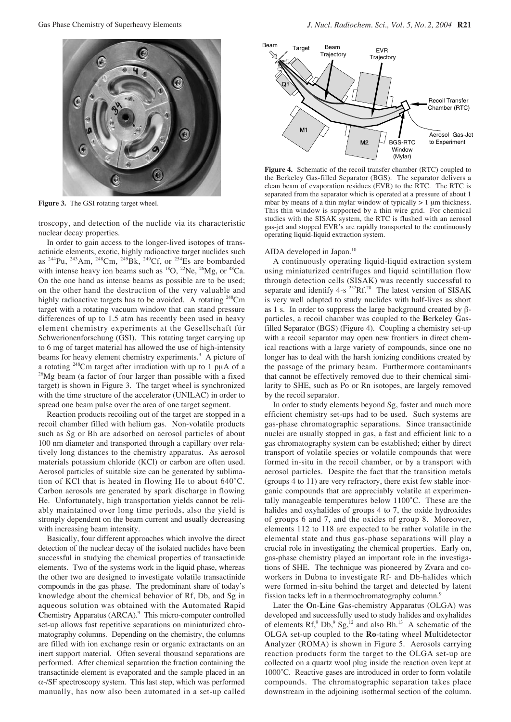

**Figure 3.** The GSI rotating target wheel.

troscopy, and detection of the nuclide via its characteristic nuclear decay properties.

In order to gain access to the longer-lived isotopes of transactinide elements, exotic, highly radioactive target nuclides such as  $^{244}$ Pu,  $^{243}$ Am,  $^{248}$ Cm,  $^{249}$ Bk,  $^{249}$ Cf, or  $^{254}$ Es are bombarded with intense heavy ion beams such as  ${}^{18}O$ ,  ${}^{22}Ne$ ,  ${}^{26}Mg$ , or  ${}^{48}Ca$ . On the one hand as intense beams as possible are to be used; on the other hand the destruction of the very valuable and highly radioactive targets has to be avoided. A rotating <sup>248</sup>Cm target with a rotating vacuum window that can stand pressure differences of up to 1.5 atm has recently been used in heavy element chemistry experiments at the Gesellschaft für Schwerionenforschung (GSI). This rotating target carrying up to 6 mg of target material has allowed the use of high-intensity beams for heavy element chemistry experiments.<sup>9</sup> A picture of a rotating 248Cm target after irradiation with up to 1 pµA of a <sup>26</sup>Mg beam (a factor of four larger than possible with a fixed target) is shown in Figure 3. The target wheel is synchronized with the time structure of the accelerator (UNILAC) in order to spread one beam pulse over the area of one target segment.

Reaction products recoiling out of the target are stopped in a recoil chamber filled with helium gas. Non-volatile products such as Sg or Bh are adsorbed on aerosol particles of about 100 nm diameter and transported through a capillary over relatively long distances to the chemistry apparatus. As aerosol materials potassium chloride (KCl) or carbon are often used. Aerosol particles of suitable size can be generated by sublimation of KCl that is heated in flowing He to about 640˚C. Carbon aerosols are generated by spark discharge in flowing He. Unfortunately, high transportation yields cannot be reliably maintained over long time periods, also the yield is strongly dependent on the beam current and usually decreasing with increasing beam intensity.

Basically, four different approaches which involve the direct detection of the nuclear decay of the isolated nuclides have been successful in studying the chemical properties of transactinide elements. Two of the systems work in the liquid phase, whereas the other two are designed to investigate volatile transactinide compounds in the gas phase. The predominant share of today's knowledge about the chemical behavior of Rf, Db, and Sg in aqueous solution was obtained with the **A**utomated **R**apid Chemistry Apparatus (ARCA).<sup>9</sup> This micro-computer controlled set-up allows fast repetitive separations on miniaturized chromatography columns. Depending on the chemistry, the columns are filled with ion exchange resin or organic extractants on an inert support material. Often several thousand separations are performed. After chemical separation the fraction containing the transactinide element is evaporated and the sample placed in an α-/SF spectroscopy system. This last step, which was performed manually, has now also been automated in a set-up called



**Figure 4.** Schematic of the recoil transfer chamber (RTC) coupled to the Berkeley Gas-filled Separator (BGS). The separator delivers a clean beam of evaporation residues (EVR) to the RTC. The RTC is separated from the separator which is operated at a pressure of about 1 mbar by means of a thin mylar window of typically  $> 1$  µm thickness. This thin window is supported by a thin wire grid. For chemical studies with the SISAK system, the RTC is flushed with an aerosol gas-jet and stopped EVR's are rapidly transported to the continuously operating liquid-liquid extraction system.

## AIDA developed in Japan.<sup>10</sup>

A continuously operating liquid-liquid extraction system using miniaturized centrifuges and liquid scintillation flow through detection cells (SISAK) was recently successful to separate and identify  $4-s^{257}Rf^{28}$  The latest version of SISAK is very well adapted to study nuclides with half-lives as short as 1 s. In order to suppress the large background created by βparticles, a recoil chamber was coupled to the **B**erkeley **G**asfilled **S**eparator (BGS) (Figure 4). Coupling a chemistry set-up with a recoil separator may open new frontiers in direct chemical reactions with a large variety of compounds, since one no longer has to deal with the harsh ionizing conditions created by the passage of the primary beam. Furthermore contaminants that cannot be effectively removed due to their chemical similarity to SHE, such as Po or Rn isotopes, are largely removed by the recoil separator.

In order to study elements beyond Sg, faster and much more efficient chemistry set-ups had to be used. Such systems are gas-phase chromatographic separations. Since transactinide nuclei are usually stopped in gas, a fast and efficient link to a gas chromatography system can be established; either by direct transport of volatile species or volatile compounds that were formed in-situ in the recoil chamber, or by a transport with aerosol particles. Despite the fact that the transition metals (groups 4 to 11) are very refractory, there exist few stable inorganic compounds that are appreciably volatile at experimentally manageable temperatures below 1100˚C. These are the halides and oxyhalides of groups 4 to 7, the oxide hydroxides of groups 6 and 7, and the oxides of group 8. Moreover, elements 112 to 118 are expected to be rather volatile in the elemental state and thus gas-phase separations will play a crucial role in investigating the chemical properties. Early on, gas-phase chemistry played an important role in the investigations of SHE. The technique was pioneered by Zvara and coworkers in Dubna to investigate Rf- and Db-halides which were formed in-situ behind the target and detected by latent fission tacks left in a thermochromatography column.<sup>9</sup>

Later the **O**n-**L**ine **G**as-chemistry **A**pparatus (OLGA) was developed and successfully used to study halides and oxyhalides of elements  $Rf<sub>1</sub><sup>9</sup>Db<sub>2</sub><sup>12</sup>$  and also Bh.<sup>13</sup> A schematic of the OLGA set-up coupled to the **Ro**-tating wheel **M**ultidetector **A**nalyzer (ROMA) is shown in Figure 5. Aerosols carrying reaction products form the target to the OLGA set-up are collected on a quartz wool plug inside the reaction oven kept at 1000˚C. Reactive gases are introduced in order to form volatile compounds. The chromatographic separation takes place downstream in the adjoining isothermal section of the column.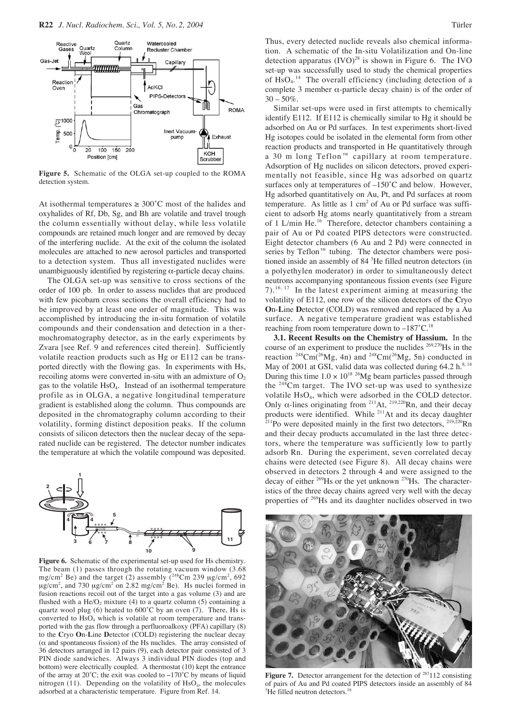

**Figure 5.** Schematic of the OLGA set-up coupled to the ROMA detection system.

At isothermal temperatures  $\geq 300^{\circ}$ C most of the halides and oxyhalides of Rf, Db, Sg, and Bh are volatile and travel trough the column essentially without delay, while less volatile compounds are retained much longer and are removed by decay of the interfering nuclide. At the exit of the column the isolated molecules are attached to new aerosol particles and transported to a detection system. Thus all investigated nuclides were unambiguously identified by registering  $\alpha$ -particle decay chains.

The OLGA set-up was sensitive to cross sections of the order of 100 pb. In order to assess nuclides that are produced with few picobarn cross sections the overall efficiency had to be improved by at least one order of magnitude. This was accomplished by introducing the in-situ formation of volatile compounds and their condensation and detection in a thermochromatography detector, as in the early experiments by Zvara [see Ref. 9 and references cited therein]. Sufficiently volatile reaction products such as Hg or E112 can be transported directly with the flowing gas. In experiments with Hs, recoiling atoms were converted in-situ with an admixture of  $O<sub>2</sub>$ gas to the volatile HsO4. Instead of an isothermal temperature profile as in OLGA, a negative longitudinal temperature gradient is established along the column. Thus compounds are deposited in the chromatography column according to their volatility, forming distinct deposition peaks. If the column consists of silicon detectors then the nuclear decay of the separated nuclide can be registered. The detector number indicates the temperature at which the volatile compound was deposited.



**Figure 6.** Schematic of the experimental set-up used for Hs chemistry. The beam (1) passes through the rotating vacuum window (3.68 mg/cm<sup>2</sup> Be) and the target (2) assembly  $(^{248}$ Cm 239  $\mu$ g/cm<sup>2</sup>, 692  $\mu$ g/cm<sup>2</sup>, and 730  $\mu$ g/cm<sup>2</sup> on 2.82 mg/cm<sup>2</sup> Be). Hs nuclei formed in fusion reactions recoil out of the target into a gas volume (3) and are flushed with a He/O<sub>2</sub> mixture (4) to a quartz column (5) containing a quartz wool plug (6) heated to  $600^{\circ}$ C by an oven (7). There, Hs is converted to HsO<sub>4</sub> which is volatile at room temperature and transported with the gas flow through a perfluoroalkoxy (PFA) capillary (8) to the **C**ryo **O**n-**L**ine **D**etector (COLD) registering the nuclear decay  $(\alpha$  and spontaneous fission) of the Hs nuclides. The array consisted of 36 detectors arranged in 12 pairs (9), each detector pair consisted of 3 PIN diode sandwiches. Always 3 individual PIN diodes (top and bottom) were electrically coupled. A thermostat (10) kept the entrance of the array at 20˚C; the exit was cooled to −170˚C by means of liquid nitrogen (11). Depending on the volatility of  $HsO<sub>4</sub>$ , the molecules adsorbed at a characteristic temperature. Figure from Ref. 14.

Thus, every detected nuclide reveals also chemical information. A schematic of the In-situ Volatilization and On-line detection apparatus  $(IVO)^{28}$  is shown in Figure 6. The IVO set-up was successfully used to study the chemical properties of  $HsO<sub>4</sub>$ .<sup>14</sup> The overall efficiency (including detection of a complete 3 member  $\alpha$ -particle decay chain) is of the order of  $30 - 50\%$ .

Similar set-ups were used in first attempts to chemically identify E112. If E112 is chemically similar to Hg it should be adsorbed on Au or Pd surfaces. In test experiments short-lived Hg isotopes could be isolated in the elemental form from other reaction products and transported in He quantitatively through a 30 m long Teflon<sup> $M$ </sup> capillary at room temperature. Adsorption of Hg nuclides on silicon detectors, proved experimentally not feasible, since Hg was adsorbed on quartz surfaces only at temperatures of –150˚C and below. However, Hg adsorbed quantitatively on Au, Pt, and Pd surfaces at room temperature. As little as  $1 \text{ cm}^2$  of Au or Pd surface was sufficient to adsorb Hg atoms nearly quantitatively from a stream of 1 L/min He.<sup>16</sup> Therefore, detector chambers containing a pair of Au or Pd coated PIPS detectors were constructed. Eight detector chambers (6 Au and 2 Pd) were connected in series by Teflon<sup> $m$ </sup> tubing. The detector chambers were positioned inside an assembly of 84<sup>3</sup>He filled neutron detectors (in a polyethylen moderator) in order to simultaneously detect neutrons accompanying spontaneous fission events (see Figure  $7)$ .<sup>16, 17</sup> In the latest experiment aiming at measuring the volatility of E112, one row of the silicon detectors of the **C**ryo **O**n-**L**ine **D**etector (COLD) was removed and replaced by a Au surface. A negative temperature gradient was established reaching from room temperature down to -187°C.<sup>18</sup>

**3.1. Recent Results on the Chemistry of Hassium.** In the course of an experiment to produce the nuclides 269,270Hs in the reaction <sup>248</sup>Cm(<sup>26</sup>Mg, 4n) and <sup>248</sup>Cm(<sup>26</sup>Mg, 5n) conducted in May of 2001 at GSI, valid data was collected during  $64.2 h$ .<sup>8, 14</sup> During this time  $1.0 \times 10^{18}$  <sup>26</sup>Mg beam particles passed through the 248Cm target. The IVO set-up was used to synthesize volatile HsO<sub>4</sub>, which were adsorbed in the COLD detector. Only  $\alpha$ -lines originating from <sup>211</sup>At, <sup>219,220</sup>Rn, and their decay products were identified. While <sup>211</sup>At and its decay daughter  $^{211}$ Po were deposited mainly in the first two detectors,  $^{219,220}$ Rn and their decay products accumulated in the last three detectors, where the temperature was sufficiently low to partly adsorb Rn. During the experiment, seven correlated decay chains were detected (see Figure 8). All decay chains were observed in detectors 2 through 4 and were assigned to the decay of either <sup>269</sup>Hs or the yet unknown <sup>270</sup>Hs. The characteristics of the three decay chains agreed very well with the decay properties of 269Hs and its daughter nuclides observed in two



Figure 7. Detector arrangement for the detection of <sup>283</sup>112 consisting of pairs of Au and Pd coated PIPS detectors inside an assembly of 84 <sup>3</sup>He filled neutron detectors.<sup>16</sup>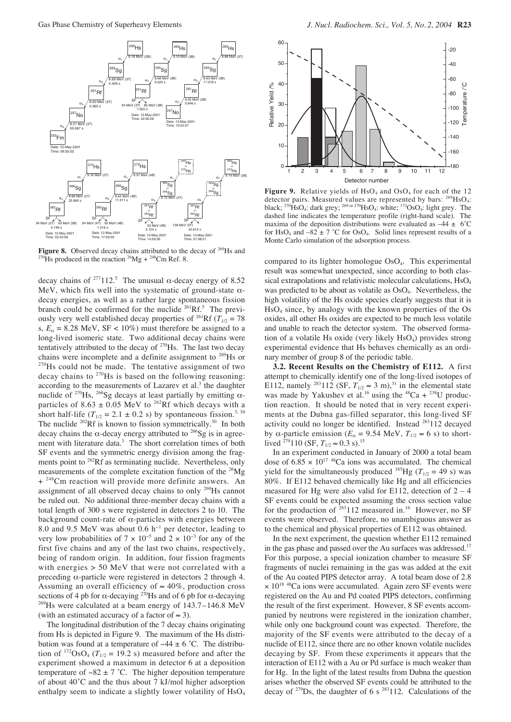



**Figure 9.** Relative yields of  $HsO<sub>4</sub>$  and  $OsO<sub>4</sub>$  for each of the 12 detector pairs. Measured values are represented by bars:  $^{269}$ HsO<sub>4</sub>: black; <sup>270</sup>HsO<sub>4</sub>: dark grey; <sup>269 or 270</sup>HsO<sub>4</sub>: white; <sup>172</sup>OsO<sub>4</sub>: light grey. The dashed line indicates the temperature profile (right-hand scale). The maxima of the deposition distributions were evaluated as  $-44 \pm 6^{\circ}$ C for HsO<sub>4</sub> and  $-82 \pm 7$  °C for OsO<sub>4</sub>. Solid lines represent results of a Monte Carlo simulation of the adsorption process.

Figure 8. Observed decay chains attributed to the decay of <sup>269</sup>Hs and <sup>270</sup>Hs produced in the reaction <sup>26</sup>Mg + <sup>248</sup>Cm Ref. 8.

decay chains of  $277112$ .<sup>5</sup> The unusual  $\alpha$ -decay energy of 8.52 MeV, which fits well into the systematic of ground-state  $\alpha$ decay energies, as well as a rather large spontaneous fission branch could be confirmed for the nuclide  $^{261}Rf$ .<sup>5</sup> The previously very well established decay properties of <sup>261</sup>Rf ( $T_{1/2}$  = 78 s,  $E_\alpha = 8.28$  MeV, SF < 10%) must therefore be assigned to a long-lived isomeric state. Two additional decay chains were tentatively attributed to the decay of  $270$ Hs. The last two decay chains were incomplete and a definite assignment to 269Hs or <sup>270</sup>Hs could not be made. The tentative assignment of two decay chains to 270Hs is based on the following reasoning: according to the measurements of Lazarev et  $al.3$ <sup>3</sup> the daughter nuclide of <sup>270</sup>Hs, <sup>266</sup>Sg decays at least partially by emitting  $\alpha$ particles of  $8.63 \pm 0.05$  MeV to <sup>262</sup>Rf which decays with a short half-life ( $T_{1/2} = 2.1 \pm 0.2$  s) by spontaneous fission.<sup>3, 30</sup> The nuclide  $262$ Rf is known to fission symmetrically.<sup>30</sup> In both decay chains the  $\alpha$ -decay energy attributed to <sup>266</sup>Sg is in agreement with literature data.<sup>3</sup> The short correlation times of both SF events and the symmetric energy division among the fragments point to <sup>262</sup>Rf as terminating nuclide. Nevertheless, only measurements of the complete excitation function of the 26Mg  $+$  <sup>248</sup>Cm reaction will provide more definite answers. An assignment of all observed decay chains to only <sup>269</sup>Hs cannot be ruled out. No additional three-member decay chains with a total length of 300 s were registered in detectors 2 to 10. The background count-rate of  $\alpha$ -particles with energies between 8.0 and 9.5 MeV was about 0.6 h<sup>-1</sup> per detector, leading to very low probabilities of  $7 \times 10^{-5}$  and  $2 \times 10^{-3}$  for any of the first five chains and any of the last two chains, respectively, being of random origin. In addition, four fission fragments with energies > 50 MeV that were not correlated with a preceding  $\alpha$ -particle were registered in detectors 2 through 4. Assuming an overall efficiency of  $\approx 40\%$ , production cross sections of 4 pb for  $\alpha$ -decaying <sup>270</sup>Hs and of 6 pb for  $\alpha$ -decaying <sup>269</sup>Hs were calculated at a beam energy of 143.7-146.8 MeV (with an estimated accuracy of a factor of  $\approx 3$ ).

The longitudinal distribution of the 7 decay chains originating from Hs is depicted in Figure 9. The maximum of the Hs distribution was found at a temperature of −44 ± 6 ˚C. The distribution of <sup>172</sup>OsO<sub>4</sub> ( $T_{1/2}$  = 19.2 s) measured before and after the experiment showed a maximum in detector 6 at a deposition temperature of  $-82 \pm 7$  °C. The higher deposition temperature of about 40˚C and the thus about 7 kJ/mol higher adsorption enthalpy seem to indicate a slightly lower volatility of HsO<sub>4</sub>

compared to its lighter homologue OsO4. This experimental result was somewhat unexpected, since according to both classical extrapolations and relativistic molecular calculations, HsO<sub>4</sub> was predicted to be about as volatile as OsO<sub>4</sub>. Nevertheless, the high volatility of the Hs oxide species clearly suggests that it is HsO4 since, by analogy with the known properties of the Os oxides, all other Hs oxides are expected to be much less volatile and unable to reach the detector system. The observed formation of a volatile Hs oxide (very likely HsO<sub>4</sub>) provides strong experimental evidence that Hs behaves chemically as an ordinary member of group 8 of the periodic table.

**3.2. Recent Results on the Chemistry of E112.** A first attempt to chemically identify one of the long-lived isotopes of E112, namely <sup>283</sup>112 (SF,  $T_{1/2} \approx 3$  m),<sup>31</sup> in the elemental state was made by Yakushev et al.<sup>16</sup> using the  $^{48}Ca + {}^{238}U$  production reaction. It should be noted that in very recent experiments at the Dubna gas-filled separator, this long-lived SF activity could no longer be identified. Instead 283112 decayed by α-particle emission ( $E_\alpha$  = 9.54 MeV,  $T_{1/2} \approx 6$  s) to shortlived <sup>279</sup>110 (SF,  $T_{1/2} \approx 0.3$  s).<sup>15</sup>

In an experiment conducted in January of 2000 a total beam dose of  $6.85 \times 10^{17}$  <sup>48</sup>Ca ions was accumulated. The chemical yield for the simultaneously produced <sup>185</sup>Hg ( $T_{1/2}$  = 49 s) was 80%. If E112 behaved chemically like Hg and all efficiencies measured for Hg were also valid for E112, detection of  $2 - 4$ SF events could be expected assuming the cross section value for the production of  $283112$  measured in.<sup>16</sup> However, no SF events were observed. Therefore, no unambiguous answer as to the chemical and physical properties of E112 was obtained.

In the next experiment, the question whether E112 remained in the gas phase and passed over the Au surfaces was addressed.<sup>17</sup> For this purpose, a special ionization chamber to measure SF fragments of nuclei remaining in the gas was added at the exit of the Au coated PIPS detector array. A total beam dose of 2.8  $\times$  10<sup>18 48</sup>Ca ions were accumulated. Again zero SF events were registered on the Au and Pd coated PIPS detectors, confirming the result of the first experiment. However, 8 SF events accompanied by neutrons were registered in the ionization chamber, while only one background count was expected. Therefore, the majority of the SF events were attributed to the decay of a nuclide of E112, since there are no other known volatile nuclides decaying by SF. From these experiments it appears that the interaction of E112 with a Au or Pd surface is much weaker than for Hg. In the light of the latest results from Dubna the question arises whether the observed SF events could be attributed to the decay of  $279$ Ds, the daughter of 6 s  $283112$ . Calculations of the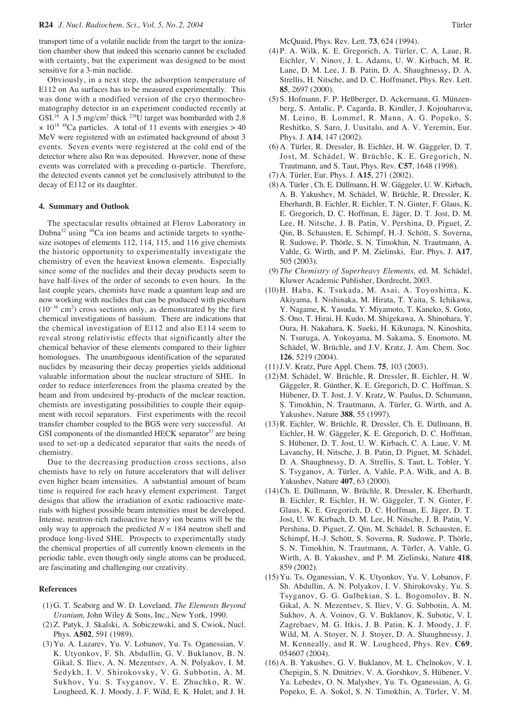transport time of a volatile nuclide from the target to the ionization chamber show that indeed this scenario cannot be excluded with certainty, but the experiment was designed to be most sensitive for a 3-min nuclide.

Obviously, in a next step, the adsorption temperature of E112 on Au surfaces has to be measured experimentally. This was done with a modified version of the cryo thermochromatography detector in an experiment conducted recently at GSI.<sup>18</sup> A 1.5 mg/cm<sup>2</sup> thick <sup>238</sup>U target was bombarded with 2.8  $\times$  10<sup>18 48</sup>Ca particles. A total of 11 events with energies > 40 MeV were registered with an estimated background of about 3 events. Seven events were registered at the cold end of the detector where also Rn was deposited. However, none of these events was correlated with a preceding  $\alpha$ -particle. Therefore, the detected events cannot yet be conclusively attributed to the decay of E112 or its daughter.

#### **4. Summary and Outlook**

The spectacular results obtained at Flerov Laboratory in Dubna<sup>32</sup> using  $48$ Ca ion beams and actinide targets to synthesize isotopes of elements 112, 114, 115, and 116 give chemists the historic opportunity to experimentally investigate the chemistry of even the heaviest known elements. Especially since some of the nuclides and their decay products seem to have half-lives of the order of seconds to even hours. In the last couple years, chemists have made a quantum leap and are now working with nuclides that can be produced with picobarn  $(10^{-36} \text{ cm}^2)$  cross sections only, as demonstrated by the first chemical investigations of hassium. There are indications that the chemical investigation of E112 and also E114 seem to reveal strong relativistic effects that significantly alter the chemical behavior of these elements compared to their lighter homologues. The unambiguous identification of the separated nuclides by measuring their decay properties yields additional valuable information about the nuclear structure of SHE. In order to reduce interferences from the plasma created by the beam and from undesired by-products of the nuclear reaction, chemists are investigating possibilities to couple their equipment with recoil separators. First experiments with the recoil transfer chamber coupled to the BGS were very successful. At GSI components of the dismantled HECK separator $33$  are being used to set-up a dedicated separator that suits the needs of chemistry.

Due to the decreasing production cross sections, also chemists have to rely on future accelerators that will deliver even higher beam intensities. A substantial amount of beam time is required for each heavy element experiment. Target designs that allow the irradiation of exotic radioactive materials with highest possible beam intensities must be developed. Intense, neutron-rich radioactive heavy ion beams will be the only way to approach the predicted  $N = 184$  neutron shell and produce long-lived SHE. Prospects to experimentally study the chemical properties of all currently known elements in the periodic table, even though only single atoms can be produced, are fascinating and challenging our creativity.

### **References**

- (1) G. T. Seaborg and W. D. Loveland, *The Elements Beyond Uranium,* John Wiley & Sons, Inc., New York, 1990.
- (2) Z. Patyk, J. Skalski, A. Sobiczewski, and S. Cwiok, Nucl. Phys. **A502**, 591 (1989).
- (3) Yu. A. Lazarev, Yu. V. Lobanov, Yu. Ts. Oganessian, V. K. Utyonkov, F. Sh. Abdullin, G. V. Buklanov, B. N. Gikal, S. Iliev, A. N. Mezentsev, A. N. Polyakov, I. M. Sedykh, I. V. Shirokovsky, V. G. Subbotin, A. M. Sukhov, Yu. S. Tsyganov, V. E. Zhuchko, R. W. Lougheed, K. J. Moody, J. F. Wild, E. K. Hulet, and J. H.

McQuaid, Phys. Rev. Lett. **73**, 624 (1994).

- (4) P. A. Wilk, K. E. Gregorich, A. Türler, C. A. Laue, R. Eichler, V. Ninov, J. L. Adams, U. W. Kirbach, M. R. Lane, D. M. Lee, J. B. Patin, D. A. Shaughnessy, D. A. Strellis, H. Nitsche, and D. C. Hoffmanet, Phys. Rev. Lett. **85**, 2697 (2000).
- (5) S. Hofmann, F. P. Heßberger, D. Ackermann, G. Münzenberg, S. Antalic, P. Cagarda, B. Kindler, J. Kojouharova, M. Leino, B. Lommel, R. Mann, A. G. Popeko, S. Reshitko, S. Saro, J. Uusitalo, and A. V. Yeremin, Eur. Phys. J. **A14**, 147 (2002).
- (6) A. Türler, R. Dressler, B. Eichler, H. W. Gäggeler, D. T. Jost, M. Schädel, W. Brüchle, K. E. Gregorich, N. Trautmann, and S. Taut, Phys. Rev. **C57**, 1648 (1998).
- (7) A. Türler, Eur. Phys. J. **A15**, 271 (2002).
- (8) A. Türler , Ch. E. Düllmann, H. W. Gäggeler, U. W. Kirbach, A. B. Yakushev, M. Schädel, W. Brüchle, R. Dressler, K. Eberhardt, B. Eichler, R. Eichler, T. N. Ginter, F. Glaus, K. E. Gregorich, D. C. Hoffman, E. Jäger, D. T. Jost, D. M. Lee, H. Nitsche, J. B. Patin, V. Pershina, D. Piguet, Z. Qin, B. Schausten, E. Schimpf, H.-J. Schött, S. Soverna, R. Sudowe, P. Thörle, S. N. Timokhin, N. Trautmann, A. Vahle, G. Wirth, and P. M. Zielinski, Eur. Phys. J. **A17**, 505 (2003).
- (9) *The Chemistry of Superheavy Elements,* ed. M. Schädel, Kluwer Academic Publisher, Dordrecht, 2003.
- (10)H. Haba, K. Tsukada, M. Asai, A. Toyoshima, K. Akiyama, I. Nishinaka, M. Hirata, T. Yaita, S. Ichikawa, Y. Nagame, K. Yasuda, Y. Miyamoto, T. Kaneko, S. Goto, S. Ono, T. Hirai, H. Kudo, M. Shigekawa, A. Shinohara, Y. Oura, H. Nakahara, K. Sueki, H. Kikunaga, N. Kinoshita, N. Tsuruga, A. Yokoyama, M. Sakama, S. Enomoto, M. Schädel, W. Brüchle, and J.V. Kratz, J. Am. Chem. Soc. **126**, 5219 (2004).
- (11)J.V. Kratz, Pure Appl. Chem. **75**, 103 (2003).
- (12)M. Schädel, W. Brüchle, R. Dressler, B. Eichler, H. W. Gäggeler, R. Günther, K. E. Gregorich, D. C. Hoffman, S. Hübener, D. T. Jost, J. V. Kratz, W. Paulus, D. Schumann, S. Timokhin, N. Trautmann, A. Türler, G. Wirth, and A. Yakushev, Nature **388**, 55 (1997).
- (13)R. Eichler, W. Brüchle, R. Dressler, Ch. E. Düllmann, B. Eichler, H. W. Gäggeler, K. E. Gregorich, D. C. Hoffman, S. Hübener, D. T. Jost, U. W. Kirbach, C. A. Laue, V. M. Lavanchy, H. Nitsche, J. B. Patin, D. Piguet, M. Schädel, D. A. Shaughnessy, D. A. Strellis, S. Taut, L. Tobler, Y. S. Tsyganov, A. Türler, A. Vahle, P.A. WiIk, and A. B. Yakushev, Nature **407**, 63 (2000).
- (14)Ch. E. Düllmann, W. Brüchle, R. Dressler, K. Eberhardt, B. Eichler, R. Eichler, H. W. Gäggeler, T. N. Ginter, F. Glaus, K. E. Gregorich, D. C. Hoffman, E. Jäger, D. T. Jost, U. W. Kirbach, D. M. Lee, H. Nitsche, J. B. Patin, V. Pershina, D. Piguet, Z. Qin, M. Schädel, B. Schausten, E. Schimpf, H.-J. Schött, S. Soverna, R. Sudowe, P. Thörle, S. N. Timokhin, N. Trautmann, A. Türler, A. Vahle, G. Wirth, A. B. Yakushev, and P. M. Zielinski, Nature **418**, 859 (2002).
- (15)Yu. Ts. Oganessian, V. K. Utyonkov, Yu. V. Lobanov, F. Sh. Abdullin, A. N. Polyakov, I. V. Shirokovsky, Yu. S. Tsyganov, G. G. Gulbekian, S. L. Bogomolov, B. N. Gikal, A. N. Mezentsev, S. Iliev, V. G. Subbotin, A. M. Sukhov, A. A. Voinov, G. V. Buklanov, K. Subotic, V. I. Zagrebaev, M. G. Itkis, J. B. Patin, K. J. Moody, J. F. Wild, M. A. Stoyer, N. J. Stoyer, D. A. Shaughnessy, J. M. Kenneally, and R. W. Lougheed, Phys. Rev. **C69**, 054607 (2004).
- (16)A. B. Yakushev, G. V. Buklanov, M. L. Chelnokov, V. I. Chepigin, S. N. Dmitriev, V. A. Gorshkov, S. Hübener, V. Ya. Lebedev, O. N. Malyshev, Yu. Ts. Oganessian, A. G. Popeko, E. A. Sokol, S. N. Timokhin, A. Türler, V. M.